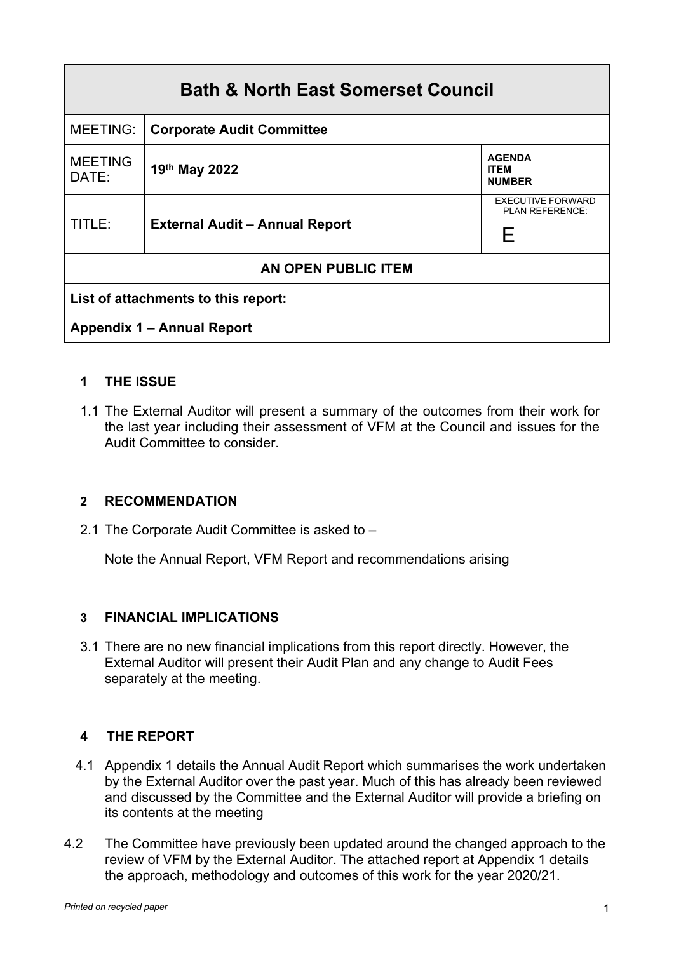| <b>Bath &amp; North East Somerset Council</b> |                                       |                                                  |  |
|-----------------------------------------------|---------------------------------------|--------------------------------------------------|--|
| <b>MEETING:</b>                               | <b>Corporate Audit Committee</b>      |                                                  |  |
| <b>MEETING</b><br>DATE:                       | 19th May 2022                         | <b>AGENDA</b><br><b>ITEM</b><br><b>NUMBER</b>    |  |
| TITLE:                                        | <b>External Audit - Annual Report</b> | <b>EXECUTIVE FORWARD</b><br>PLAN REFERENCE:<br>F |  |
| AN OPEN PUBLIC ITEM                           |                                       |                                                  |  |
| List of attachments to this report:           |                                       |                                                  |  |
| <b>Appendix 1 - Annual Report</b>             |                                       |                                                  |  |

# **1 THE ISSUE**

1.1 The External Auditor will present a summary of the outcomes from their work for the last year including their assessment of VFM at the Council and issues for the Audit Committee to consider.

#### **2 RECOMMENDATION**

2.1 The Corporate Audit Committee is asked to –

Note the Annual Report, VFM Report and recommendations arising

## **3 FINANCIAL IMPLICATIONS**

3.1 There are no new financial implications from this report directly. However, the External Auditor will present their Audit Plan and any change to Audit Fees separately at the meeting.

## **4 THE REPORT**

- 4.1 Appendix 1 details the Annual Audit Report which summarises the work undertaken by the External Auditor over the past year. Much of this has already been reviewed and discussed by the Committee and the External Auditor will provide a briefing on its contents at the meeting
- 4.2 The Committee have previously been updated around the changed approach to the review of VFM by the External Auditor. The attached report at Appendix 1 details the approach, methodology and outcomes of this work for the year 2020/21.